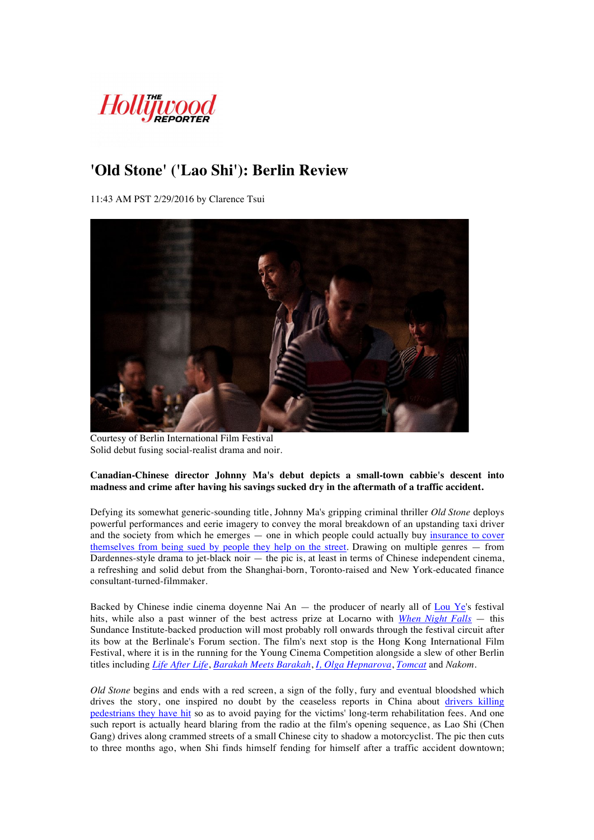

## **'Old Stone' ('Lao Shi'): Berlin Review**

11:43 AM PST 2/29/2016 by Clarence Tsui



Courtesy of Berlin International Film Festival Solid debut fusing social-realist drama and noir.

## **Canadian-Chinese director Johnny Ma's debut depicts a small-town cabbie's descent into madness and crime after having his savings sucked dry in the aftermath of a traffic accident.**

Defying its somewhat generic-sounding title, Johnny Ma's gripping criminal thriller *Old Stone* deploys powerful performances and eerie imagery to convey the moral breakdown of an upstanding taxi driver and the society from which he emerges — one in which people could actually buy insurance to cover themselves from being sued by people they help on the street. Drawing on multiple genres — from Dardennes-style drama to jet-black noir — the pic is, at least in terms of Chinese independent cinema, a refreshing and solid debut from the Shanghai-born, Toronto-raised and New York-educated finance consultant-turned-filmmaker.

Backed by Chinese indie cinema doyenne Nai An — the producer of nearly all of Lou Ye's festival hits, while also a past winner of the best actress prize at Locarno with *When Night Falls* — this Sundance Institute-backed production will most probably roll onwards through the festival circuit after its bow at the Berlinale's Forum section. The film's next stop is the Hong Kong International Film Festival, where it is in the running for the Young Cinema Competition alongside a slew of other Berlin titles including *Life After Life*, *Barakah Meets Barakah*, *I, Olga Hepnarova*, *Tomcat* and *Nakom*.

*Old Stone* begins and ends with a red screen, a sign of the folly, fury and eventual bloodshed which drives the story, one inspired no doubt by the ceaseless reports in China about drivers killing pedestrians they have hit so as to avoid paying for the victims' long-term rehabilitation fees. And one such report is actually heard blaring from the radio at the film's opening sequence, as Lao Shi (Chen Gang) drives along crammed streets of a small Chinese city to shadow a motorcyclist. The pic then cuts to three months ago, when Shi finds himself fending for himself after a traffic accident downtown;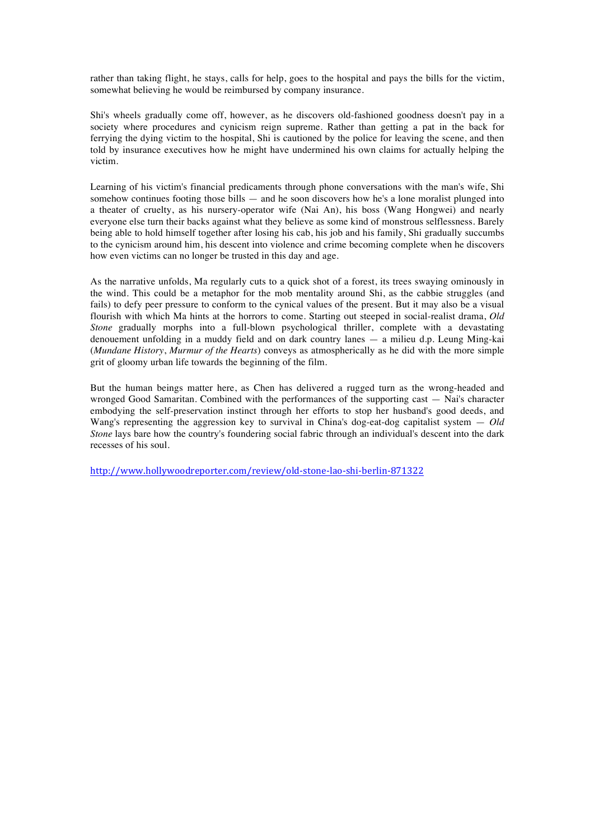rather than taking flight, he stays, calls for help, goes to the hospital and pays the bills for the victim, somewhat believing he would be reimbursed by company insurance.

Shi's wheels gradually come off, however, as he discovers old-fashioned goodness doesn't pay in a society where procedures and cynicism reign supreme. Rather than getting a pat in the back for ferrying the dying victim to the hospital, Shi is cautioned by the police for leaving the scene, and then told by insurance executives how he might have undermined his own claims for actually helping the victim.

Learning of his victim's financial predicaments through phone conversations with the man's wife, Shi somehow continues footing those bills  $-$  and he soon discovers how he's a lone moralist plunged into a theater of cruelty, as his nursery-operator wife (Nai An), his boss (Wang Hongwei) and nearly everyone else turn their backs against what they believe as some kind of monstrous selflessness. Barely being able to hold himself together after losing his cab, his job and his family, Shi gradually succumbs to the cynicism around him, his descent into violence and crime becoming complete when he discovers how even victims can no longer be trusted in this day and age.

As the narrative unfolds, Ma regularly cuts to a quick shot of a forest, its trees swaying ominously in the wind. This could be a metaphor for the mob mentality around Shi, as the cabbie struggles (and fails) to defy peer pressure to conform to the cynical values of the present. But it may also be a visual flourish with which Ma hints at the horrors to come. Starting out steeped in social-realist drama, *Old Stone* gradually morphs into a full-blown psychological thriller, complete with a devastating denouement unfolding in a muddy field and on dark country lanes — a milieu d.p. Leung Ming-kai (*Mundane History*, *Murmur of the Hearts*) conveys as atmospherically as he did with the more simple grit of gloomy urban life towards the beginning of the film.

But the human beings matter here, as Chen has delivered a rugged turn as the wrong-headed and wronged Good Samaritan. Combined with the performances of the supporting cast — Nai's character embodying the self-preservation instinct through her efforts to stop her husband's good deeds, and Wang's representing the aggression key to survival in China's dog-eat-dog capitalist system — *Old Stone* lays bare how the country's foundering social fabric through an individual's descent into the dark recesses of his soul.

http://www.hollywoodreporter.com/review/old-stone-lao-shi-berlin-871322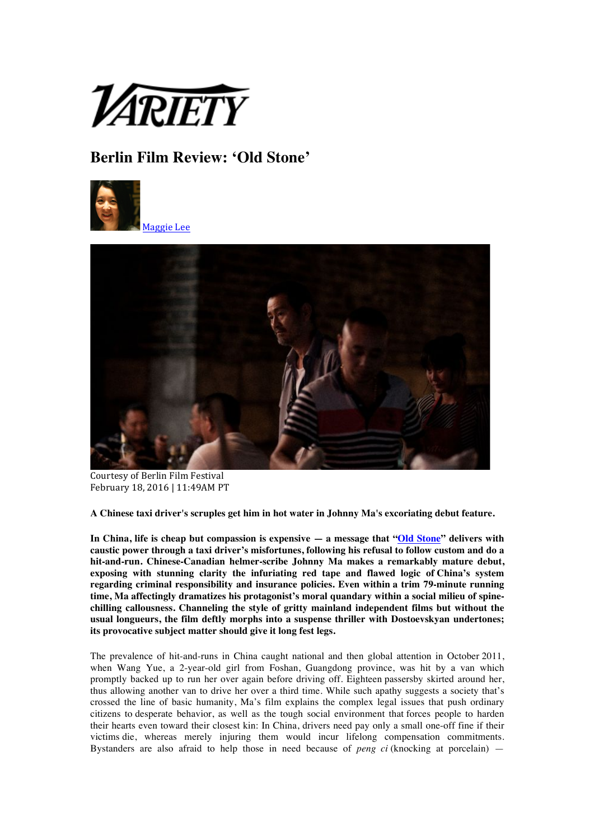

## **Berlin Film Review: 'Old Stone'**





Courtesy of Berlin Film Festival February 18, 2016 | 11:49AM PT

**A Chinese taxi driver's scruples get him in hot water in Johnny Ma's excoriating debut feature.**

**In China, life is cheap but compassion is expensive — a message that "Old Stone" delivers with caustic power through a taxi driver's misfortunes, following his refusal to follow custom and do a hit-and-run. Chinese-Canadian helmer-scribe Johnny Ma makes a remarkably mature debut, exposing with stunning clarity the infuriating red tape and flawed logic of China's system regarding criminal responsibility and insurance policies. Even within a trim 79-minute running time, Ma affectingly dramatizes his protagonist's moral quandary within a social milieu of spinechilling callousness. Channeling the style of gritty mainland independent films but without the usual longueurs, the film deftly morphs into a suspense thriller with Dostoevskyan undertones; its provocative subject matter should give it long fest legs.**

The prevalence of hit-and-runs in China caught national and then global attention in October 2011, when Wang Yue, a 2-year-old girl from Foshan, Guangdong province, was hit by a van which promptly backed up to run her over again before driving off. Eighteen passersby skirted around her, thus allowing another van to drive her over a third time. While such apathy suggests a society that's crossed the line of basic humanity, Ma's film explains the complex legal issues that push ordinary citizens to desperate behavior, as well as the tough social environment that forces people to harden their hearts even toward their closest kin: In China, drivers need pay only a small one-off fine if their victims die, whereas merely injuring them would incur lifelong compensation commitments. Bystanders are also afraid to help those in need because of *peng ci* (knocking at porcelain) —